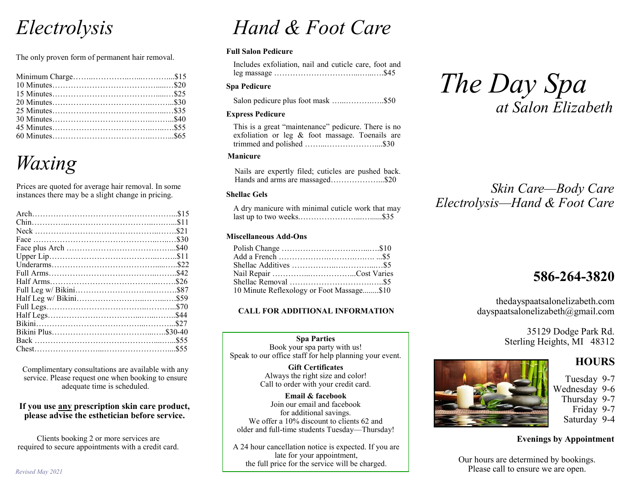## *Electrolysis*

The only proven form of permanent hair removal.

## *Waxing*

Prices are quoted for average hair removal. In some instances there may be a slight change in pricing.

Complimentary consultations are available with any service. Please request one when booking to ensure adequate time is scheduled.

### **If you use any prescription skin care product, please advise the esthetician before service.**

Clients booking 2 or more services are required to secure appointments with a credit card.

# *Hand & Foot Care*

### **Full Salon Pedicure**

Includes exfoliation, nail and cuticle care, foot and leg massage …………………………...…...….\$45

### **Spa Pedicure**

Salon pedicure plus foot mask …...……….…..\$50

### **Express Pedicure**

This is a great "maintenance" pedicure. There is no exfoliation or leg & foot massage. Toenails are trimmed and polished ……...………………....\$30

### **Manicure**

Nails are expertly filed; cuticles are pushed back. Hands and arms are massaged………………...\$20

### **Shellac Gels**

A dry manicure with minimal cuticle work that may last up to two weeks.…………………...…......\$35

### **Miscellaneous Add-Ons**

| 10 Minute Reflexology or Foot Massage\$10 |  |
|-------------------------------------------|--|

### **CALL FOR ADDITIONAL INFORMATION**

### **Spa Parties** Book your spa party with us! Speak to our office staff for help planning your event.

**Gift Certificates** Always the right size and color! Call to order with your credit card.

**Email & facebook** Join our email and facebook for additional savings. We offer a 10% discount to clients 62 and older and full-time students Tuesday—Thursday!

A 24 hour cancellation notice is expected. If you are late for your appointment, the full price for the service will be charged.



### *Skin Care—Body Care Electrolysis—Hand & Foot Care*

### **586-264-3820**

thedayspaatsalonelizabeth.com dayspaatsalonelizabeth@gmail.com

> 35129 Dodge Park Rd. Sterling Heights, MI 48312

### **HOURS**

- Tuesday 9-7
- Wednesday 9-6 Thursday 9-7
	- Friday 9-7
	- Saturday 9-4

**Evenings by Appointment**

Our hours are determined by bookings. Please call to ensure we are open.